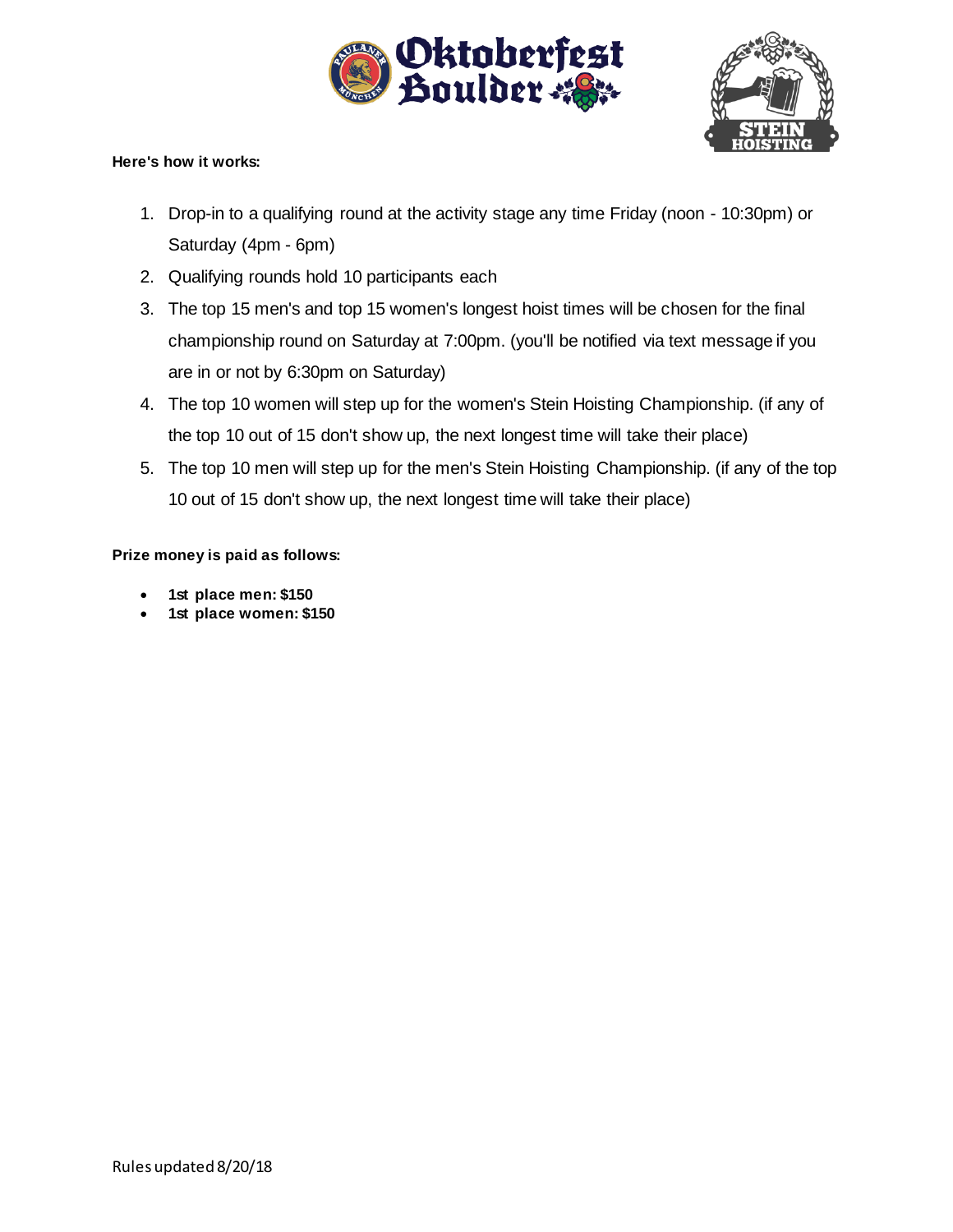



## **Here's how it works:**

- 1. Drop-in to a qualifying round at the activity stage any time Friday (noon 10:30pm) or Saturday (4pm - 6pm)
- 2. Qualifying rounds hold 10 participants each
- 3. The top 15 men's and top 15 women's longest hoist times will be chosen for the final championship round on Saturday at 7:00pm. (you'll be notified via text message if you are in or not by 6:30pm on Saturday)
- 4. The top 10 women will step up for the women's Stein Hoisting Championship. (if any of the top 10 out of 15 don't show up, the next longest time will take their place)
- 5. The top 10 men will step up for the men's Stein Hoisting Championship. (if any of the top 10 out of 15 don't show up, the next longest time will take their place)

## **Prize money is paid as follows:**

- **1st place men: \$150**
- **1st place women: \$150**